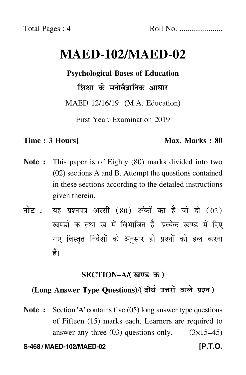# **MAED-102/MAED-02**

**Psychological Bases of Education**

शिक्षा के मनोवैज्ञानिक आधार

MAED 12/16/19 (M.A. Education)

First Year, Examination 2019

#### **Time : 3 Hours]** Max. Marks : 80

- **Note :** This paper is of Eighty (80) marks divided into two (02) sections A and B. Attempt the questions contained in these sections according to the detailed instructions given therein.
- नोट : यह प्रश्नपत्र अस्सी (80) अंकों का है जो दो (02) खण्डों क तथा ख में विभाजित है। प्रत्येक खण्ड में दिए गए विस्तृत निर्देशों के अनुसार ही प्रश्नों को हल करन<mark>ा</mark> है।

#### **SECTION–A/**

## (Long Answer Type Questions)/( दीर्घ उत्तरों वाले प्रश्न )

**Note :** Section 'A' contains five (05) long answer type questions of Fifteen (15) marks each. Learners are required to answer any three  $(03)$  questions only.  $(3\times15=45)$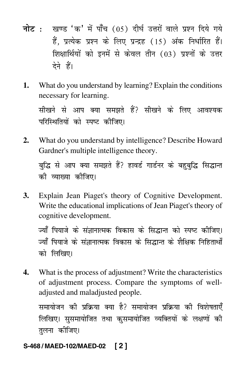- <mark>नोट</mark> : खण्ड 'क' में पाँच (05) दीर्घ उत्तरों वाले प्रश्न दिये गये हैं, प्रत्येक प्रश्न के लिए प्रन्द्रह (15) अंक निर्धारित हैं। शिक्षार्थियों को इनमें से केवल तीन (03) प्रश्नों के उत्तर देने हैं।
- **1.** What do you understand by learning? Explain the conditions necessary for learning.

सीखने से आप क्या समझते हैं? सीखने के लिए आवश्यक परिस्थितियों को स्पष्ट कीजिए।

**2.** What do you understand by intelligence? Describe Howard Gardner's multiple intelligence theory.

बुद्धि से आप क्या समझते हैं? हावर्ड गार्डनर के बहुबुद्धि सिद्धान्त की व्याख्या कीजिए।

**3.** Explain Jean Piaget's theory of Cognitive Development. Write the educational implications of Jean Piaget's theory of cognitive development.

ज्याँ पियाजे के संज्ञानात्मक विकास के सिद्धान्त को स्पष्ट कीजिए। ज्याँ पियाजे के संज्ञानात्मक विकास के सिद्धान्त के शैक्षिक निहितार्थों को लिखिए।

**4.** What is the process of adjustment? Write the characteristics of adjustment process. Compare the symptoms of welladjusted and maladjusted people.

समायोजन को प्रक्रिया क्या है? समायोजन प्रक्रिया को विशेषताएँ लिखिए। सुसमायोजित तथा कुसमायोजित व्यक्तियों के लक्षणों की तुलना क<mark>ी</mark>जिए।

## **S-468 / MAED-102/MAED-02 [ 2 ]**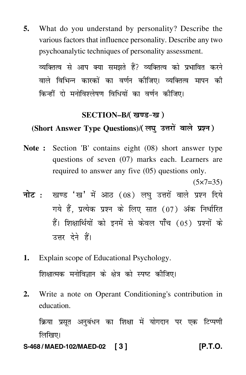**5.** What do you understand by personality? Describe the various factors that influence personality. Describe any two psychoanalytic techniques of personality assessment.

व्यक्तित्व से आप क्या समझते हैं? व्यक्तित्व को प्रभावित करने वाले विभिन्न कारकों का वर्णन कीजिए। व्यक्तित्व मापन की किन्हीं दो मनोविश्लेषण विधियों का वर्णन कीजिए।

#### **SECTION–B/**

## (Short Answer Type Questions)/( लघु उत्तरों वाले प्रश्न )

**Note :** Section 'B' contains eight (08) short answer type questions of seven (07) marks each. Learners are required to answer any five (05) questions only.

 $(5 \times 7 = 35)$ 

- <mark>नोट</mark> : खण्ड 'ख' में आठ (08) लघु उत्तरों वाले प्रश्न दिये गये हैं, प्रत्येक प्रश्न के लिए सात (07) अंक निर्धारित हैं। शिक्षार्थियों को इनमें से केवल पाँच (05) प्रश्नों के उत्तर देने हैं।
- **1.** Explain scope of Educational Psychology. शिक्षात्मक मनोविज्ञान के क्षेत्र को स्पष्ट कीजिए।
- **2.** Write a note on Operant Conditioning's contribution in education.

क्रिया प्रसूत अनुबंधन का शिक्षा में योगदान पर एक टिप्पणी लिखिए।

**S-468 / MAED-102/MAED-02 [ 3 ] [P.T.O.**